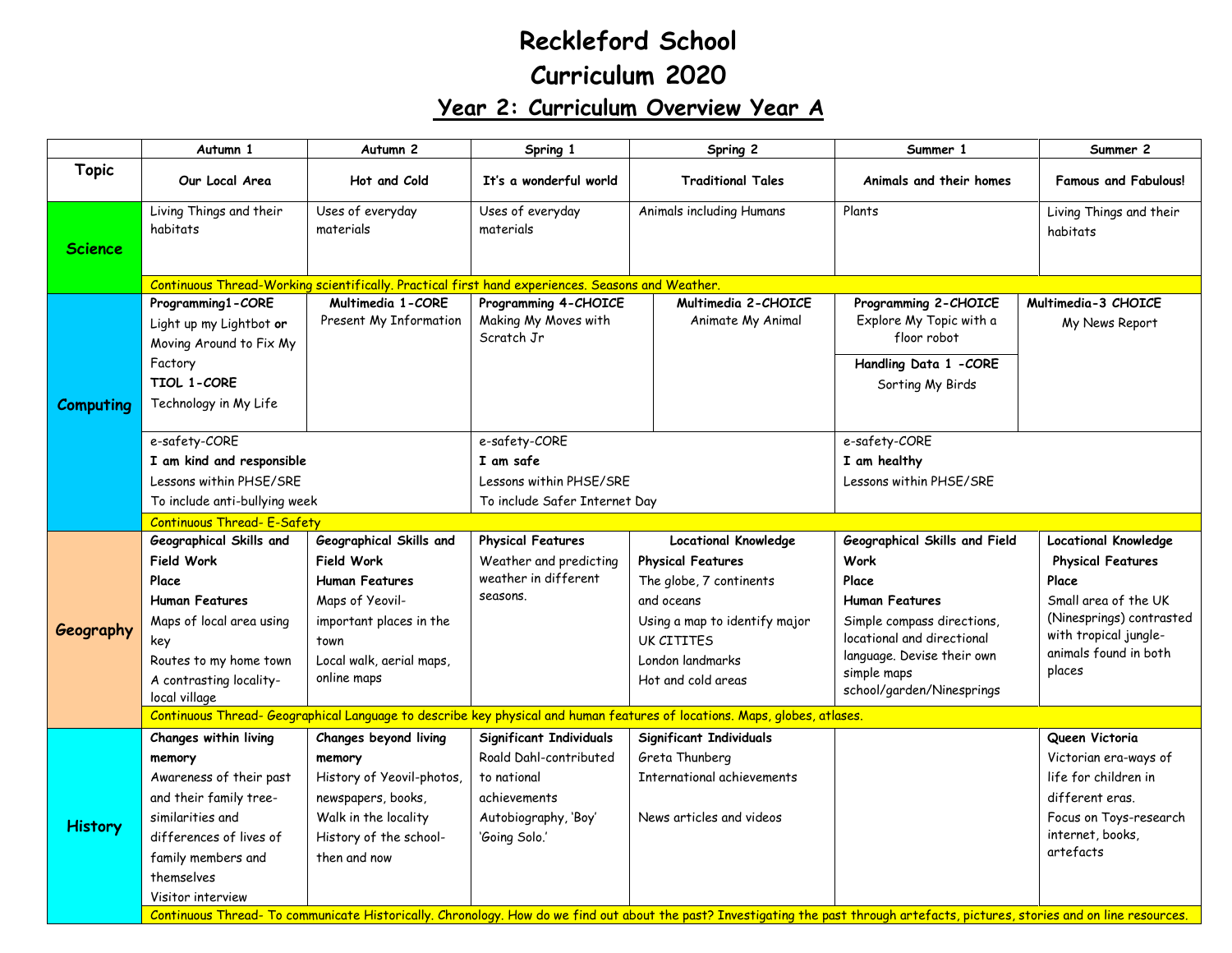## **Reckleford School Curriculum 2020 Year 2: Curriculum Overview Year A**

|                | Autumn 1                                                                                                                                                                                     | Autumn <sub>2</sub>                                                                                                                                                    | Spring 1                                                                                                                  | Spring 2                                                                                                                                                                                  | Summer 1                                                                                                                                                                                                             | Summer 2                                                                                                                                                                         |  |  |  |  |
|----------------|----------------------------------------------------------------------------------------------------------------------------------------------------------------------------------------------|------------------------------------------------------------------------------------------------------------------------------------------------------------------------|---------------------------------------------------------------------------------------------------------------------------|-------------------------------------------------------------------------------------------------------------------------------------------------------------------------------------------|----------------------------------------------------------------------------------------------------------------------------------------------------------------------------------------------------------------------|----------------------------------------------------------------------------------------------------------------------------------------------------------------------------------|--|--|--|--|
| <b>Topic</b>   | Our Local Area                                                                                                                                                                               | Hot and Cold                                                                                                                                                           | It's a wonderful world                                                                                                    | <b>Traditional Tales</b>                                                                                                                                                                  | Animals and their homes                                                                                                                                                                                              | <b>Famous and Fabulous!</b>                                                                                                                                                      |  |  |  |  |
| Science        | Living Things and their<br>habitats                                                                                                                                                          | Uses of everyday<br>materials                                                                                                                                          | Uses of everyday<br>materials                                                                                             | Animals including Humans                                                                                                                                                                  | Plants                                                                                                                                                                                                               | Living Things and their<br>habitats                                                                                                                                              |  |  |  |  |
|                |                                                                                                                                                                                              | Continuous Thread-Working scientifically. Practical first hand experiences. Seasons and Weather.                                                                       |                                                                                                                           |                                                                                                                                                                                           |                                                                                                                                                                                                                      |                                                                                                                                                                                  |  |  |  |  |
| Computing      | Programming1-CORE<br>Light up my Lightbot or<br>Moving Around to Fix My<br>Factory<br><b>TIOL 1-CORE</b><br>Technology in My Life                                                            | Multimedia 1-CORE<br>Present My Information                                                                                                                            | Programming 4-CHOICE<br>Making My Moves with<br>Scratch Jr                                                                | Multimedia 2-CHOICE<br>Animate My Animal                                                                                                                                                  | Programming 2-CHOICE<br>Explore My Topic with a<br>floor robot<br>Handling Data 1 -CORE<br>Sorting My Birds                                                                                                          | Multimedia-3 CHOICE<br>My News Report                                                                                                                                            |  |  |  |  |
|                | e-safety-CORE<br>I am kind and responsible<br>Lessons within PHSE/SRE<br>To include anti-bullying week                                                                                       |                                                                                                                                                                        | e-safety-CORE<br>I am safe<br>Lessons within PHSE/SRE<br>To include Safer Internet Day                                    |                                                                                                                                                                                           | e-safety-CORE<br>I am healthy<br>Lessons within PHSE/SRE                                                                                                                                                             |                                                                                                                                                                                  |  |  |  |  |
|                | Continuous Thread- E-Safety                                                                                                                                                                  |                                                                                                                                                                        |                                                                                                                           |                                                                                                                                                                                           |                                                                                                                                                                                                                      |                                                                                                                                                                                  |  |  |  |  |
| Geography      | Geographical Skills and<br><b>Field Work</b><br>Place<br><b>Human Features</b><br>Maps of local area using<br>key<br>Routes to my home town<br>A contrasting locality-<br>local village      | Geographical Skills and<br><b>Field Work</b><br><b>Human Features</b><br>Maps of Yeovil-<br>important places in the<br>town<br>Local walk, aerial maps,<br>online maps | <b>Physical Features</b><br>Weather and predicting<br>weather in different<br>seasons.                                    | <b>Locational Knowledge</b><br><b>Physical Features</b><br>The globe, 7 continents<br>and oceans<br>Using a map to identify major<br>UK CITITFS<br>London landmarks<br>Hot and cold areas | Geographical Skills and Field<br><b>Work</b><br>Place<br><b>Human Features</b><br>Simple compass directions,<br>locational and directional<br>language. Devise their own<br>simple maps<br>school/garden/Ninesprings | <b>Locational Knowledge</b><br><b>Physical Features</b><br>Place<br>Small area of the UK<br>(Ninesprings) contrasted<br>with tropical jungle-<br>animals found in both<br>places |  |  |  |  |
|                | Continuous Thread-Geographical Language to describe key physical and human features of locations. Maps, globes, atlases.                                                                     |                                                                                                                                                                        |                                                                                                                           |                                                                                                                                                                                           |                                                                                                                                                                                                                      |                                                                                                                                                                                  |  |  |  |  |
| <b>History</b> | Changes within living<br>memory<br>Awareness of their past<br>and their family tree-<br>similarities and<br>differences of lives of<br>family members and<br>themselves<br>Visitor interview | Changes beyond living<br>memory<br>History of Yeovil-photos,<br>newspapers, books,<br>Walk in the locality<br>History of the school-<br>then and now                   | Significant Individuals<br>Roald Dahl-contributed<br>to national<br>achievements<br>Autobiography, 'Boy'<br>'Going Solo.' | <b>Significant Individuals</b><br>Greta Thunberg<br>International achievements<br>News articles and videos                                                                                |                                                                                                                                                                                                                      | Queen Victoria<br>Victorian era-ways of<br>life for children in<br>different eras.<br>Focus on Toys-research<br>internet, books,<br>artefacts                                    |  |  |  |  |
|                |                                                                                                                                                                                              |                                                                                                                                                                        |                                                                                                                           | Continuous Thread- To communicate Historically. Chronology. How do we find out about the past? Investigating the past through artefacts, pictures, stories and on line resources.         |                                                                                                                                                                                                                      |                                                                                                                                                                                  |  |  |  |  |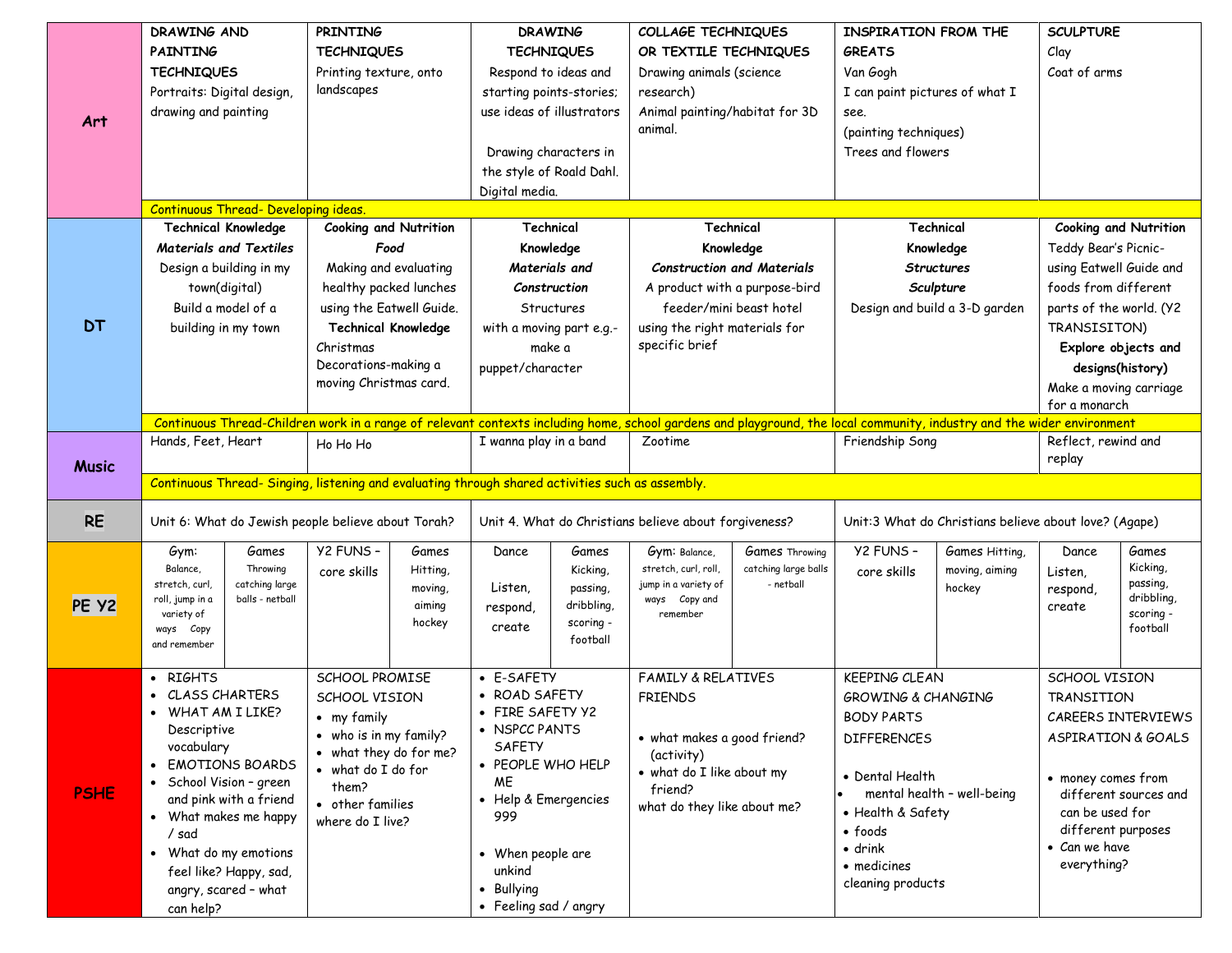|              | <b>DRAWING AND</b>                                                                                                                                                     |                 | <b>PRINTING</b>                   |                      | <b>DRAWING</b>                                        |                          | COLLAGE TECHNIQUES                                    |                       | <b>INSPIRATION FROM THE</b>    |                | <b>SCULPTURE</b>                                |                              |
|--------------|------------------------------------------------------------------------------------------------------------------------------------------------------------------------|-----------------|-----------------------------------|----------------------|-------------------------------------------------------|--------------------------|-------------------------------------------------------|-----------------------|--------------------------------|----------------|-------------------------------------------------|------------------------------|
|              | <b>PAINTING</b>                                                                                                                                                        |                 | <b>TECHNIQUES</b>                 |                      | <b>TECHNIQUES</b>                                     |                          | OR TEXTILE TECHNIQUES                                 |                       | <b>GREATS</b>                  |                | Clay                                            |                              |
|              | <b>TECHNIQUES</b><br>Printing texture, onto                                                                                                                            |                 |                                   | Respond to ideas and |                                                       | Drawing animals (science |                                                       | Van Gogh              |                                | Coat of arms   |                                                 |                              |
|              | Portraits: Digital design,                                                                                                                                             |                 | landscapes                        |                      | starting points-stories;                              |                          | research)                                             |                       | I can paint pictures of what I |                |                                                 |                              |
|              |                                                                                                                                                                        |                 |                                   |                      | use ideas of illustrators                             |                          |                                                       |                       | see.                           |                |                                                 |                              |
| Art          | drawing and painting                                                                                                                                                   |                 |                                   |                      |                                                       |                          | Animal painting/habitat for 3D<br>animal.             |                       | (painting techniques)          |                |                                                 |                              |
|              |                                                                                                                                                                        |                 |                                   |                      |                                                       |                          |                                                       |                       | Trees and flowers              |                |                                                 |                              |
|              |                                                                                                                                                                        |                 |                                   |                      |                                                       | Drawing characters in    |                                                       |                       |                                |                |                                                 |                              |
|              |                                                                                                                                                                        |                 |                                   |                      |                                                       | the style of Roald Dahl. |                                                       |                       |                                |                |                                                 |                              |
|              | <b>Continuous Thread- Developing ideas.</b>                                                                                                                            |                 |                                   | Digital media.       |                                                       |                          |                                                       |                       |                                |                |                                                 |                              |
|              | <b>Technical Knowledge</b>                                                                                                                                             |                 | <b>Cooking and Nutrition</b>      |                      | Technical                                             |                          | Technical                                             |                       |                                | Technical      |                                                 | <b>Cooking and Nutrition</b> |
|              | <b>Materials and Textiles</b>                                                                                                                                          |                 | Food                              |                      |                                                       | Knowledge                |                                                       | Knowledge             |                                |                |                                                 |                              |
|              | Design a building in my                                                                                                                                                |                 | Making and evaluating             |                      | Materials and                                         |                          | <b>Construction and Materials</b>                     |                       | Knowledge<br><b>Structures</b> |                | Teddy Bear's Picnic-<br>using Eatwell Guide and |                              |
|              | town(digital)                                                                                                                                                          |                 | healthy packed lunches            |                      | Construction                                          |                          |                                                       |                       | Sculpture                      |                |                                                 |                              |
|              |                                                                                                                                                                        |                 |                                   |                      |                                                       |                          | A product with a purpose-bird                         |                       | Design and build a 3-D garden  |                | foods from different<br>parts of the world. (Y2 |                              |
| <b>DT</b>    | Build a model of a                                                                                                                                                     |                 | using the Eatwell Guide.          |                      | Structures                                            |                          | feeder/mini beast hotel                               |                       |                                |                |                                                 |                              |
|              | building in my town                                                                                                                                                    |                 | <b>Technical Knowledge</b>        |                      | with a moving part e.g.-                              |                          | using the right materials for<br>specific brief       |                       |                                |                | TRANSISITON)                                    |                              |
|              |                                                                                                                                                                        |                 | Christmas<br>Decorations-making a |                      | make a                                                |                          |                                                       |                       |                                |                |                                                 | Explore objects and          |
|              |                                                                                                                                                                        |                 | moving Christmas card.            |                      | puppet/character                                      |                          |                                                       |                       |                                |                | designs(history)                                |                              |
|              |                                                                                                                                                                        |                 |                                   |                      |                                                       |                          |                                                       |                       |                                |                | Make a moving carriage                          |                              |
|              | Continuous Thread-Children work in a range of relevant contexts including home, school gardens and playground, the local community, industry and the wider environment |                 |                                   |                      |                                                       |                          |                                                       |                       |                                |                | for a monarch                                   |                              |
|              | Hands, Feet, Heart<br>Ho Ho Ho                                                                                                                                         |                 | I wanna play in a band            |                      | Zootime                                               |                          | Friendship Song                                       |                       | Reflect, rewind and            |                |                                                 |                              |
|              |                                                                                                                                                                        |                 |                                   |                      |                                                       |                          |                                                       |                       |                                |                | replay                                          |                              |
| <b>Music</b> | Continuous Thread- Singing, listening and evaluating through shared activities such as assembly.                                                                       |                 |                                   |                      |                                                       |                          |                                                       |                       |                                |                |                                                 |                              |
| <b>RE</b>    | Unit 6: What do Jewish people believe about Torah?                                                                                                                     |                 |                                   |                      | Unit 4. What do Christians believe about forgiveness? |                          | Unit:3 What do Christians believe about love? (Agape) |                       |                                |                |                                                 |                              |
|              | Gym:                                                                                                                                                                   | Games           | Y2 FUNS -                         | Games                | Dance                                                 | Games                    | Gym: Balance,                                         | <b>Games Throwing</b> | Y2 FUNS -                      | Games Hitting, | Dance                                           | Games                        |
|              | Balance,                                                                                                                                                               | Throwing        | core skills                       | Hitting,             |                                                       | Kicking,                 | stretch, curl, roll,                                  | catching large balls  | core skills                    | moving, aiming | Listen,                                         | Kicking,                     |
|              | stretch, curl,                                                                                                                                                         | catching large  |                                   | moving,              | Listen,                                               | passing,                 | jump in a variety of                                  | - netball             |                                | hockey         | respond,                                        | passing,                     |
| PE Y2        | roll, jump in a                                                                                                                                                        | balls - netball |                                   | aiming               | respond,                                              | dribbling,               | ways Copy and                                         |                       |                                |                | create                                          | dribbling,<br>scoring -      |
|              | variety of<br>ways Copy                                                                                                                                                |                 |                                   | hockey               | create                                                | scoring -                | remember                                              |                       |                                |                |                                                 | football                     |
|              | and remember                                                                                                                                                           |                 |                                   |                      |                                                       | football                 |                                                       |                       |                                |                |                                                 |                              |
|              |                                                                                                                                                                        |                 |                                   |                      |                                                       |                          |                                                       |                       |                                |                |                                                 |                              |
|              | • RIGHTS                                                                                                                                                               |                 | SCHOOL PROMISE                    |                      | • E-SAFETY                                            |                          | <b>FAMILY &amp; RELATIVES</b>                         |                       | <b>KEEPING CLEAN</b>           |                | SCHOOL VISION                                   |                              |
|              | CLASS CHARTERS                                                                                                                                                         |                 | SCHOOL VISION                     |                      | • ROAD SAFETY                                         |                          | <b>FRIENDS</b>                                        |                       | <b>GROWING &amp; CHANGING</b>  |                | <b>TRANSITION</b>                               |                              |
|              | • WHAT AM I LIKE?<br>Descriptive                                                                                                                                       |                 | • my family                       |                      | • FIRE SAFETY Y2                                      |                          |                                                       |                       | <b>BODY PARTS</b>              |                | CAREERS INTERVIEWS                              |                              |
|              | vocabulary                                                                                                                                                             |                 | • who is in my family?            |                      | • NSPCC PANTS<br>SAFETY                               |                          | • what makes a good friend?                           |                       | <b>DIFFERENCES</b>             |                |                                                 | ASPIRATION & GOALS           |
|              | • EMOTIONS BOARDS                                                                                                                                                      |                 | • what they do for me?            |                      | • PEOPLE WHO HELP                                     |                          | (activity)                                            |                       |                                |                |                                                 |                              |
|              | • School Vision - green                                                                                                                                                |                 | • what do I do for                |                      | <b>ME</b>                                             |                          | • what do I like about my                             |                       | • Dental Health                |                | • money comes from                              |                              |
| <b>PSHE</b>  | and pink with a friend                                                                                                                                                 |                 | them?<br>• other families         |                      | • Help & Emergencies                                  |                          | friend?                                               |                       | mental health - well-being     |                |                                                 | different sources and        |
|              | • What makes me happy                                                                                                                                                  |                 | where do I live?                  |                      | 999                                                   |                          | what do they like about me?                           |                       | • Health & Safety              |                | can be used for                                 |                              |
|              | / sad                                                                                                                                                                  |                 |                                   |                      |                                                       |                          |                                                       |                       | $\bullet$ foods                |                | different purposes                              |                              |
|              | • What do my emotions                                                                                                                                                  |                 |                                   |                      | • When people are                                     |                          |                                                       |                       | $\bullet$ drink                |                | • Can we have                                   |                              |
|              | feel like? Happy, sad,                                                                                                                                                 |                 |                                   |                      | unkind                                                |                          |                                                       |                       | • medicines                    |                | everything?                                     |                              |
|              | angry, scared - what                                                                                                                                                   |                 |                                   |                      | Bullying                                              |                          |                                                       |                       | cleaning products              |                |                                                 |                              |
|              | can help?                                                                                                                                                              |                 |                                   |                      | • Feeling sad / angry                                 |                          |                                                       |                       |                                |                |                                                 |                              |